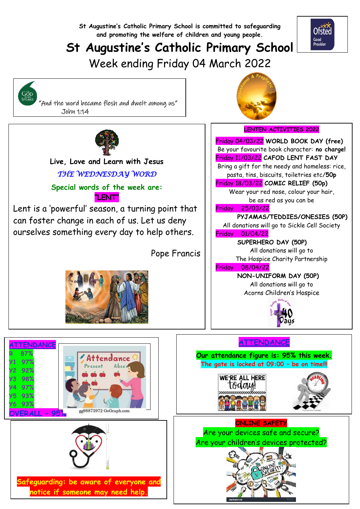**St Augustine's Catholic Primary School is committed to safeguarding and promoting the welfare of children and young people.**

# **St Augustine's Catholic Primary School**

Week ending Friday 04 March 2022



 "And the word became flesh and dwelt among us" John 1:14



  **Live, Love and Learn with Jesus** *THE WEDNESDAY WORD* 

**Special words of the week are: "LENT"**

Lent is a 'powerful' season, a turning point that can foster change in each of us. Let us deny ourselves something every day to help others.

Pope Francis







**Safeguarding: be aware of everyone and notice if someone may need help.**





Ofsted Good<br>Provider

## **LENTEN ACTIVITIES 2022**

Friday 04/03/22 **WORLD BOOK DAY (free)** Be your favourite book character: **no charge!** Friday 11/03/22 **CAFOD LENT FAST DAY** Bring a gift for the needy and homeless: rice, pasta, tins, biscuits, toiletries etc/**50p**

Friday 18/03/22 **COMIC RELIEF (50p)**

Wear your red nose, colour your hair, be as red as you can be

#### Friday 25/03/22

**PYJAMAS/TEDDIES/ONESIES (50P)**

All donations will go to Sickle Cell Society Friday 01/04/22

**SUPERHERO DAY (50P)**

All donations will go to The Hospice Charity Partnership

#### Friday 08/04/22

**NON-UNIFORM DAY (50P)** All donations will go to Acorns Children's Hospice



## **ATTENDANCE**

**Our attendance figure is: 95% this week. The gate is locked at 09:00 – be on time!!!**





**ONLINE SAFETY** Are your devices safe and secure? Are your children's devices protected?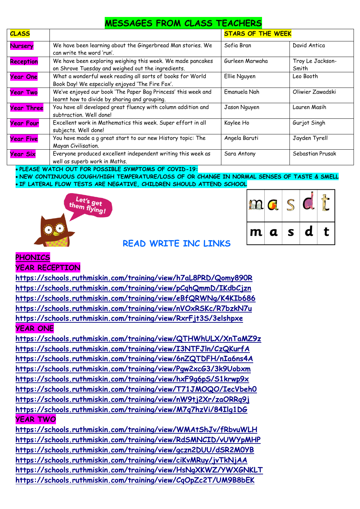| <b>MESSAGES FROM CLASS TEACHERS</b> |
|-------------------------------------|
|-------------------------------------|

| <b>CLASS</b>      |                                                                                                                   | <b>STARS OF THE WEEK</b> |                           |
|-------------------|-------------------------------------------------------------------------------------------------------------------|--------------------------|---------------------------|
| <b>Nursery</b>    | We have been learning about the Gingerbread Man stories. We<br>can write the word 'run'.                          | Sofia Bran               | David Antica              |
| <b>Reception</b>  | We have been exploring weighing this week. We made pancakes<br>on Shrove Tuesday and weighed out the ingredients. | Gurleen Marwaha          | Troy Le Jackson-<br>Smith |
| Year One          | What a wonderful week reading all sorts of books for World<br>Book Day! We especially enjoyed 'The Fire Fox'.     | Ellie Nguyen             | Leo Booth                 |
| <b>Year Two</b>   | We've enjoyed our book 'The Paper Bag Princess' this week and<br>learnt how to divide by sharing and grouping.    | Emanuela Nah             | Oliwier Zawadski          |
| <b>Year Three</b> | You have all developed great fluency with column addition and<br>subtraction. Well done!                          | Jason Nguyen             | Lauren Masih              |
| <b>Year Four</b>  | Excellent work in Mathematics this week. Super effort in all<br>subjects. Well done!                              | Kaylee Ho                | Gurjot Singh              |
| <b>Year Five</b>  | You have made a g great start to our new History topic: The<br>Mayan Civilisation.                                | Angela Baruti            | Jayden Tyrell             |
| <b>Year Six</b>   | Everyone produced excellent independent writing this week as<br>well as superb work in Maths.                     | Sara Antony              | Sebastian Prusak          |

**PLEASE WATCH OUT FOR POSSIBLE SYMPTOMS OF COVID-19:**

 **NEW CONTINUOUS COUGH/HIGH TEMPERATURE/LOSS OF OR CHANGE IN NORMAL SENSES OF TASTE & SMELL IF LATERAL FLOW TESTS ARE NEGATIVE, CHILDREN SHOULD ATTEND SCHOOL**





## **READ WRITE INC LINKS**

### **PHONICS**

**YEAR RECEPTION**

**<https://schools.ruthmiskin.com/training/view/h7aL8PRD/Qomy890R> <https://schools.ruthmiskin.com/training/view/pCqhQmmD/IKdbCjzn> <https://schools.ruthmiskin.com/training/view/eBfQRWNg/K4KIb686> <https://schools.ruthmiskin.com/training/view/nVOxRSKc/R7bzkN7u> <https://schools.ruthmiskin.com/training/view/RxrFjt3S/3elshpxe> YEAR ONE**

**<https://schools.ruthmiskin.com/training/view/QTHWhULX/XnTaMZ9z> <https://schools.ruthmiskin.com/training/view/I3NTFJln/CzQKurfA> <https://schools.ruthmiskin.com/training/view/6nZQTDFH/nIa6ns4A> <https://schools.ruthmiskin.com/training/view/Pgw2xcG3/3k9Uobxm> <https://schools.ruthmiskin.com/training/view/hxF9g6pS/S1krwp9x> <https://schools.ruthmiskin.com/training/view/T71JMOQO/IecVbeh0> <https://schools.ruthmiskin.com/training/view/nW9tj2Xr/zaORRq9j> <https://schools.ruthmiskin.com/training/view/M7q7hzVi/84Ilg1DG> YEAR TWO**

**<https://schools.ruthmiskin.com/training/view/WMAtShJv/fRbvuWLH> <https://schools.ruthmiskin.com/training/view/RdSMNCID/vUWYpMHP> <https://schools.ruthmiskin.com/training/view/gczn2DUU/dSR2M0YB> <https://schools.ruthmiskin.com/training/view/ciKvMRuy/jvTkNjAA> <https://schools.ruthmiskin.com/training/view/HsNgXKWZ/YWXGNKLT> <https://schools.ruthmiskin.com/training/view/CqOpZc2T/UM9B8bEK>**